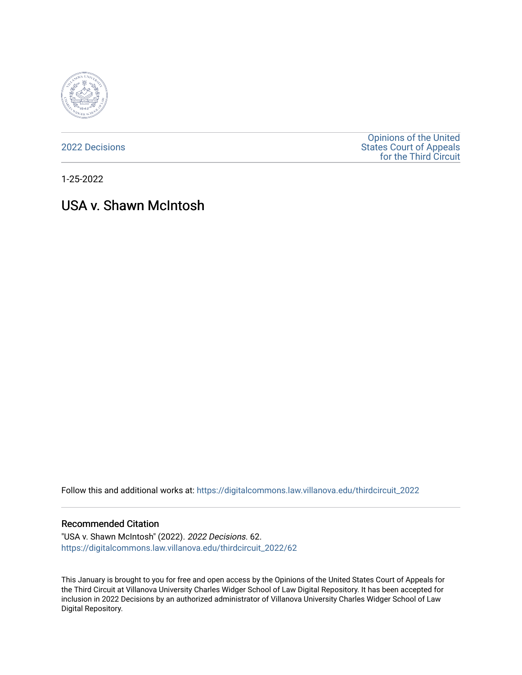

[2022 Decisions](https://digitalcommons.law.villanova.edu/thirdcircuit_2022)

[Opinions of the United](https://digitalcommons.law.villanova.edu/thirdcircuit)  [States Court of Appeals](https://digitalcommons.law.villanova.edu/thirdcircuit)  [for the Third Circuit](https://digitalcommons.law.villanova.edu/thirdcircuit) 

1-25-2022

# USA v. Shawn McIntosh

Follow this and additional works at: [https://digitalcommons.law.villanova.edu/thirdcircuit\\_2022](https://digitalcommons.law.villanova.edu/thirdcircuit_2022?utm_source=digitalcommons.law.villanova.edu%2Fthirdcircuit_2022%2F62&utm_medium=PDF&utm_campaign=PDFCoverPages) 

#### Recommended Citation

"USA v. Shawn McIntosh" (2022). 2022 Decisions. 62. [https://digitalcommons.law.villanova.edu/thirdcircuit\\_2022/62](https://digitalcommons.law.villanova.edu/thirdcircuit_2022/62?utm_source=digitalcommons.law.villanova.edu%2Fthirdcircuit_2022%2F62&utm_medium=PDF&utm_campaign=PDFCoverPages)

This January is brought to you for free and open access by the Opinions of the United States Court of Appeals for the Third Circuit at Villanova University Charles Widger School of Law Digital Repository. It has been accepted for inclusion in 2022 Decisions by an authorized administrator of Villanova University Charles Widger School of Law Digital Repository.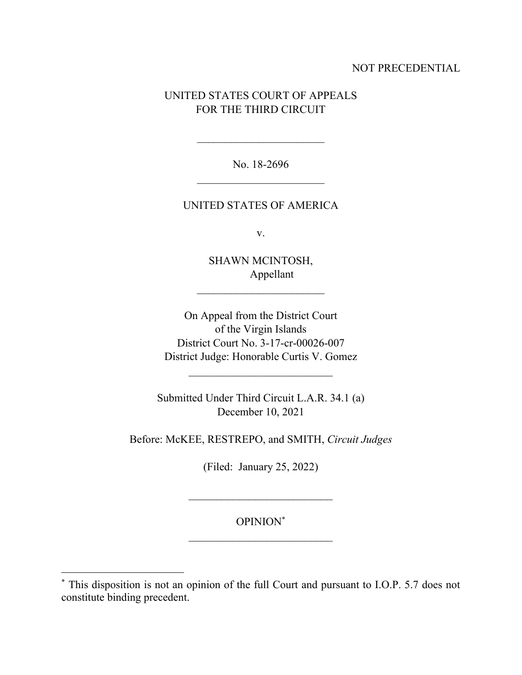## NOT PRECEDENTIAL

# UNITED STATES COURT OF APPEALS FOR THE THIRD CIRCUIT

No. 18-2696  $\mathcal{L}_\text{max}$ 

### UNITED STATES OF AMERICA

v.

SHAWN MCINTOSH, Appellant

 $\mathcal{L}_\text{max}$ 

On Appeal from the District Court of the Virgin Islands District Court No. 3-17-cr-00026-007 District Judge: Honorable Curtis V. Gomez

Submitted Under Third Circuit L.A.R. 34.1 (a) December 10, 2021

 $\mathcal{L}_\text{max}$ 

Before: McKEE, RESTREPO, and SMITH, *Circuit Judges*

(Filed: January 25, 2022)

OPINION\*

<sup>\*</sup> This disposition is not an opinion of the full Court and pursuant to I.O.P. 5.7 does not constitute binding precedent.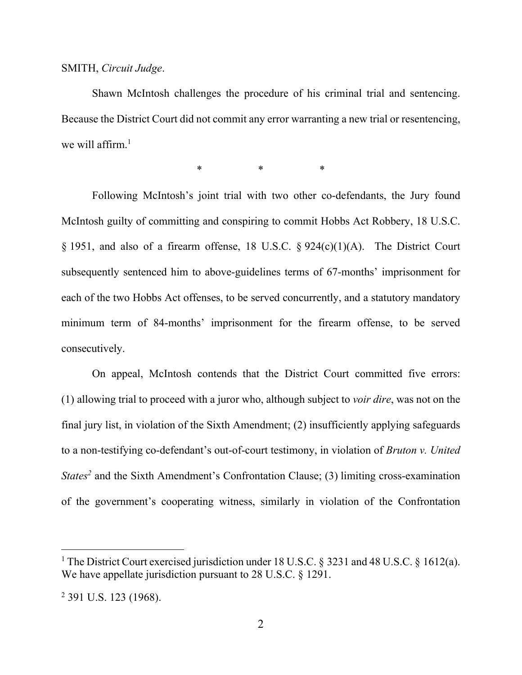#### SMITH, *Circuit Judge*.

Shawn McIntosh challenges the procedure of his criminal trial and sentencing. Because the District Court did not commit any error warranting a new trial or resentencing, we will affirm.<sup>1</sup>

\* \* \* \* \*

Following McIntosh's joint trial with two other co-defendants, the Jury found McIntosh guilty of committing and conspiring to commit Hobbs Act Robbery, 18 U.S.C. § 1951, and also of a firearm offense, 18 U.S.C. § 924(c)(1)(A). The District Court subsequently sentenced him to above-guidelines terms of 67-months' imprisonment for each of the two Hobbs Act offenses, to be served concurrently, and a statutory mandatory minimum term of 84-months' imprisonment for the firearm offense, to be served consecutively.

On appeal, McIntosh contends that the District Court committed five errors: (1) allowing trial to proceed with a juror who, although subject to *voir dire*, was not on the final jury list, in violation of the Sixth Amendment; (2) insufficiently applying safeguards to a non-testifying co-defendant's out-of-court testimony, in violation of *Bruton v. United States<sup>2</sup>* and the Sixth Amendment's Confrontation Clause; (3) limiting cross-examination of the government's cooperating witness, similarly in violation of the Confrontation

<sup>&</sup>lt;sup>1</sup> The District Court exercised jurisdiction under 18 U.S.C. § 3231 and 48 U.S.C. § 1612(a). We have appellate jurisdiction pursuant to 28 U.S.C. § 1291.

<sup>2</sup> 391 U.S. 123 (1968).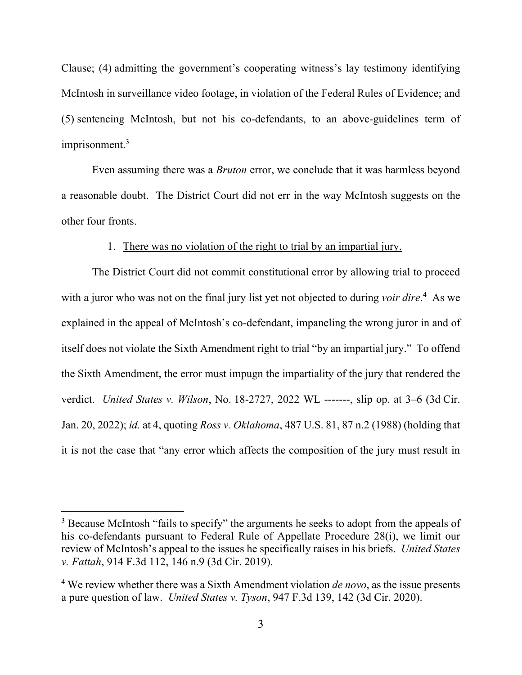Clause; (4) admitting the government's cooperating witness's lay testimony identifying McIntosh in surveillance video footage, in violation of the Federal Rules of Evidence; and (5) sentencing McIntosh, but not his co-defendants, to an above-guidelines term of imprisonment. 3

Even assuming there was a *Bruton* error, we conclude that it was harmless beyond a reasonable doubt. The District Court did not err in the way McIntosh suggests on the other four fronts.

#### 1. There was no violation of the right to trial by an impartial jury.

The District Court did not commit constitutional error by allowing trial to proceed with a juror who was not on the final jury list yet not objected to during *voir dire*. 4 As we explained in the appeal of McIntosh's co-defendant, impaneling the wrong juror in and of itself does not violate the Sixth Amendment right to trial "by an impartial jury." To offend the Sixth Amendment, the error must impugn the impartiality of the jury that rendered the verdict. *United States v. Wilson*, No. 18-2727, 2022 WL -------, slip op. at 3–6 (3d Cir. Jan. 20, 2022); *id.* at 4, quoting *Ross v. Oklahoma*, 487 U.S. 81, 87 n.2 (1988) (holding that it is not the case that "any error which affects the composition of the jury must result in

<sup>&</sup>lt;sup>3</sup> Because McIntosh "fails to specify" the arguments he seeks to adopt from the appeals of his co-defendants pursuant to Federal Rule of Appellate Procedure 28(i), we limit our review of McIntosh's appeal to the issues he specifically raises in his briefs. *United States v. Fattah*, 914 F.3d 112, 146 n.9 (3d Cir. 2019).

<sup>4</sup> We review whether there was a Sixth Amendment violation *de novo*, as the issue presents a pure question of law. *United States v. Tyson*, 947 F.3d 139, 142 (3d Cir. 2020).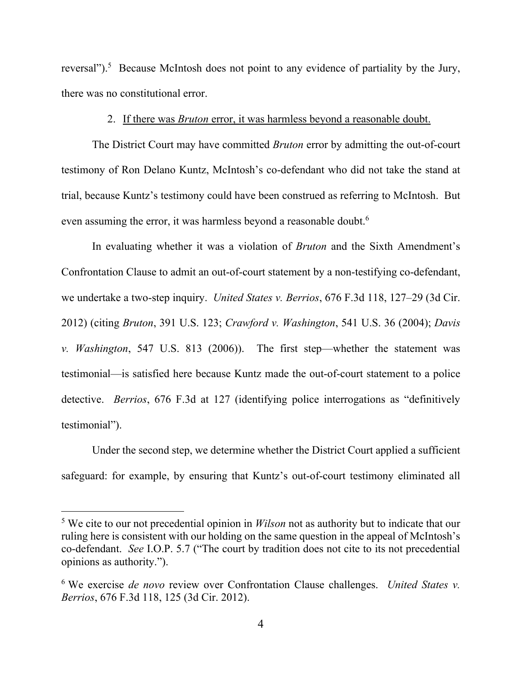reversal").<sup>5</sup> Because McIntosh does not point to any evidence of partiality by the Jury, there was no constitutional error.

#### <span id="page-4-0"></span>2. If there was *Bruton* error, it was harmless beyond a reasonable doubt.

The District Court may have committed *Bruton* error by admitting the out-of-court testimony of Ron Delano Kuntz, McIntosh's co-defendant who did not take the stand at trial, because Kuntz's testimony could have been construed as referring to McIntosh. But even assuming the error, it was harmless beyond a reasonable doubt.<sup>6</sup>

In evaluating whether it was a violation of *Bruton* and the Sixth Amendment's Confrontation Clause to admit an out-of-court statement by a non-testifying co-defendant, we undertake a two-step inquiry. *United States v. Berrios*, 676 F.3d 118, 127–29 (3d Cir. 2012) (citing *Bruton*, 391 U.S. 123; *Crawford v. Washington*, 541 U.S. 36 (2004); *Davis v. Washington*, 547 U.S. 813 (2006)). The first step—whether the statement was testimonial—is satisfied here because Kuntz made the out-of-court statement to a police detective. *Berrios*, 676 F.3d at 127 (identifying police interrogations as "definitively testimonial").

Under the second step, we determine whether the District Court applied a sufficient safeguard: for example, by ensuring that Kuntz's out-of-court testimony eliminated all

<sup>5</sup> We cite to our not precedential opinion in *Wilson* not as authority but to indicate that our ruling here is consistent with our holding on the same question in the appeal of McIntosh's co-defendant. *See* I.O.P. 5.7 ("The court by tradition does not cite to its not precedential opinions as authority.").

<sup>6</sup> We exercise *de novo* review over Confrontation Clause challenges. *United States v. Berrios*, 676 F.3d 118, 125 (3d Cir. 2012).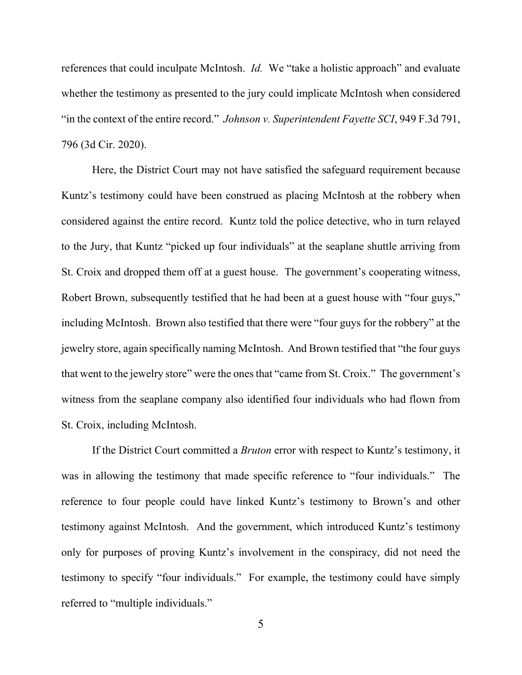references that could inculpate McIntosh. *Id.* We "take a holistic approach" and evaluate whether the testimony as presented to the jury could implicate McIntosh when considered "in the context of the entire record." *Johnson v. Superintendent Fayette SCI*, 949 F.3d 791, 796 (3d Cir. 2020).

Here, the District Court may not have satisfied the safeguard requirement because Kuntz's testimony could have been construed as placing McIntosh at the robbery when considered against the entire record. Kuntz told the police detective, who in turn relayed to the Jury, that Kuntz "picked up four individuals" at the seaplane shuttle arriving from St. Croix and dropped them off at a guest house. The government's cooperating witness, Robert Brown, subsequently testified that he had been at a guest house with "four guys," including McIntosh. Brown also testified that there were "four guys for the robbery" at the jewelry store, again specifically naming McIntosh. And Brown testified that "the four guys that went to the jewelry store" were the ones that "came from St. Croix." The government's witness from the seaplane company also identified four individuals who had flown from St. Croix, including McIntosh.

If the District Court committed a *Bruton* error with respect to Kuntz's testimony, it was in allowing the testimony that made specific reference to "four individuals." The reference to four people could have linked Kuntz's testimony to Brown's and other testimony against McIntosh. And the government, which introduced Kuntz's testimony only for purposes of proving Kuntz's involvement in the conspiracy, did not need the testimony to specify "four individuals." For example, the testimony could have simply referred to "multiple individuals."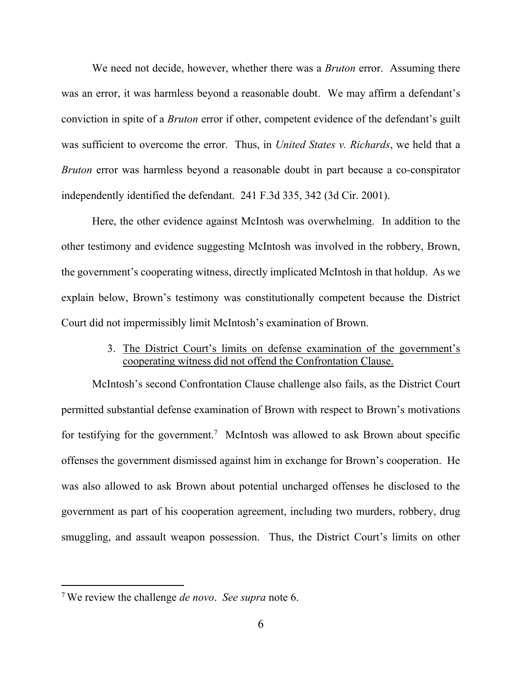We need not decide, however, whether there was a *Bruton* error. Assuming there was an error, it was harmless beyond a reasonable doubt. We may affirm a defendant's conviction in spite of a *Bruton* error if other, competent evidence of the defendant's guilt was sufficient to overcome the error. Thus, in *United States v. Richards*, we held that a *Bruton* error was harmless beyond a reasonable doubt in part because a co-conspirator independently identified the defendant. 241 F.3d 335, 342 (3d Cir. 2001).

Here, the other evidence against McIntosh was overwhelming. In addition to the other testimony and evidence suggesting McIntosh was involved in the robbery, Brown, the government's cooperating witness, directly implicated McIntosh in that holdup. As we explain below, Brown's testimony was constitutionally competent because the District Court did not impermissibly limit McIntosh's examination of Brown.

## 3. The District Court's limits on defense examination of the government's cooperating witness did not offend the Confrontation Clause.

McIntosh's second Confrontation Clause challenge also fails, as the District Court permitted substantial defense examination of Brown with respect to Brown's motivations for testifying for the government.<sup>7</sup> McIntosh was allowed to ask Brown about specific offenses the government dismissed against him in exchange for Brown's cooperation. He was also allowed to ask Brown about potential uncharged offenses he disclosed to the government as part of his cooperation agreement, including two murders, robbery, drug smuggling, and assault weapon possession. Thus, the District Court's limits on other

<sup>7</sup> We review the challenge *de novo*. *See supra* note [6.](#page-4-0)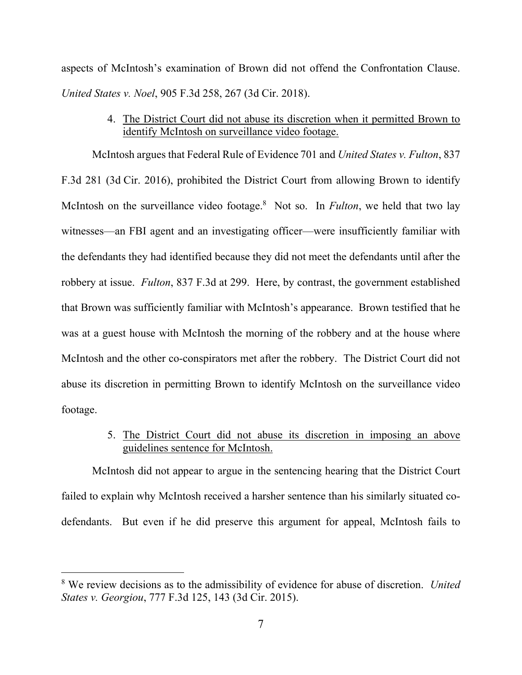aspects of McIntosh's examination of Brown did not offend the Confrontation Clause. *United States v. Noel*, 905 F.3d 258, 267 (3d Cir. 2018).

> 4. The District Court did not abuse its discretion when it permitted Brown to identify McIntosh on surveillance video footage.

McIntosh argues that Federal Rule of Evidence 701 and *United States v. Fulton*, 837 F.3d 281 (3d Cir. 2016), prohibited the District Court from allowing Brown to identify McIntosh on the surveillance video footage.<sup>8</sup> Not so. In *Fulton*, we held that two lay witnesses—an FBI agent and an investigating officer—were insufficiently familiar with the defendants they had identified because they did not meet the defendants until after the robbery at issue. *Fulton*, 837 F.3d at 299. Here, by contrast, the government established that Brown was sufficiently familiar with McIntosh's appearance. Brown testified that he was at a guest house with McIntosh the morning of the robbery and at the house where McIntosh and the other co-conspirators met after the robbery. The District Court did not abuse its discretion in permitting Brown to identify McIntosh on the surveillance video footage.

> 5. The District Court did not abuse its discretion in imposing an above guidelines sentence for McIntosh.

McIntosh did not appear to argue in the sentencing hearing that the District Court failed to explain why McIntosh received a harsher sentence than his similarly situated codefendants. But even if he did preserve this argument for appeal, McIntosh fails to

<sup>8</sup> We review decisions as to the admissibility of evidence for abuse of discretion. *United States v. Georgiou*, 777 F.3d 125, 143 (3d Cir. 2015).